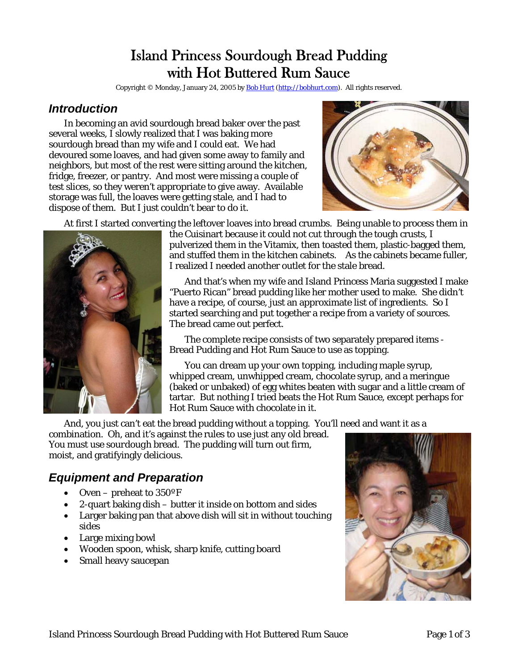# Island Princess Sourdough Bread Pudding with Hot Buttered Rum Sauce

Copyright © Monday, January 24, 2005 by [Bob Hurt](http://bobhurt.com/) ([http://bobhurt.com](http://bobhurt.com/)). All rights reserved.

### *Introduction*

In becoming an avid sourdough bread baker over the past several weeks, I slowly realized that I was baking more sourdough bread than my wife and I could eat. We had devoured some loaves, and had given some away to family and neighbors, but most of the rest were sitting around the kitchen, fridge, freezer, or pantry. And most were missing a couple of test slices, so they weren't appropriate to give away. Available storage was full, the loaves were getting stale, and I had to dispose of them. But I just couldn't bear to do it.



At first I started converting the leftover loaves into bread crumbs. Being unable to process them in



the Cuisinart because it could not cut through the tough crusts, I pulverized them in the Vitamix, then toasted them, plastic-bagged them, and stuffed them in the kitchen cabinets. As the cabinets became fuller, I realized I needed another outlet for the stale bread.

And that's when my wife and Island Princess Maria suggested I make "Puerto Rican" bread pudding like her mother used to make. She didn't have a recipe, of course, just an approximate list of ingredients. So I started searching and put together a recipe from a variety of sources. The bread came out perfect.

The complete recipe consists of two separately prepared items - Bread Pudding and Hot Rum Sauce to use as topping.

You can dream up your own topping, including maple syrup, whipped cream, unwhipped cream, chocolate syrup, and a meringue (baked or unbaked) of egg whites beaten with sugar and a little cream of tartar. But nothing I tried beats the Hot Rum Sauce, except perhaps for Hot Rum Sauce with chocolate in it.

And, you just can't eat the bread pudding without a topping. You'll need and want it as a

combination. Oh, and it's against the rules to use just any old bread. You must use *sourdough* bread. The pudding will turn out firm, moist, and gratifyingly delicious.

## *Equipment and Preparation*

- Oven preheat to 350°F
- 2-quart baking dish butter it inside on bottom and sides
- Larger baking pan that above dish will sit in without touching sides
- Large mixing bowl
- Wooden spoon, whisk, sharp knife, cutting board
- Small heavy saucepan

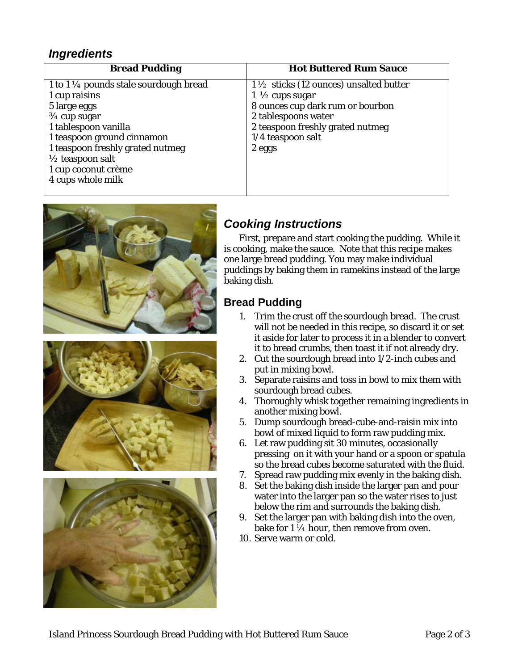### *Ingredients*

| <b>Bread Pudding</b>                              | <b>Hot Buttered Rum Sauce</b>                     |
|---------------------------------------------------|---------------------------------------------------|
| 1 to 1 $\frac{1}{4}$ pounds stale sourdough bread | $1\frac{1}{2}$ sticks (12 ounces) unsalted butter |
| 1 cup raisins                                     | 1 $\frac{1}{2}$ cups sugar                        |
| 5 large eggs                                      | 8 ounces cup dark rum or bourbon                  |
| $\frac{3}{4}$ cup sugar                           | 2 tablespoons water                               |
| 1 tablespoon vanilla                              | 2 teaspoon freshly grated nutmeg                  |
| 1 teaspoon ground cinnamon                        | 1/4 teaspoon salt                                 |
| 1 teaspoon freshly grated nutmeg                  | 2 eggs                                            |
| $\frac{1}{2}$ teaspoon salt                       |                                                   |
| 1 cup coconut crème                               |                                                   |
| 4 cups whole milk                                 |                                                   |
|                                                   |                                                   |







## *Cooking Instructions*

First, prepare and start cooking the pudding. While it is cooking, make the sauce. Note that this recipe makes one large bread pudding. You may make individual puddings by baking them in ramekins instead of the large baking dish.

## **Bread Pudding**

- 1. Trim the crust off the sourdough bread. The crust will not be needed in this recipe, so discard it or set it aside for later to process it in a blender to convert it to bread crumbs, then toast it if not already dry.
- 2. Cut the sourdough bread into 1/2-inch cubes and put in mixing bowl.
- 3. Separate raisins and toss in bowl to mix them with sourdough bread cubes.
- 4. Thoroughly whisk together remaining ingredients i n another mixing bowl.
- 5. Dump sourdough bread-cube-and-raisin mix into bowl of mixed liquid to form raw pudding mix.
- 6. Let raw pudding sit 30 minutes, occasionally pressing on it with your hand or a spoon or spatula so the bread cubes become saturated with the fluid.
- 7. Spread raw pudding mix evenly in the baking dish.
- 8. Set the baking dish inside the larger pan and pour water into the larger pan so the water rises to just below the rim and surrounds the baking dish.
- 9. Set the larger pan with baking dish into the oven, bake for  $1\frac{1}{4}$  hour, then remove from oven.
- 10. Serve warm or cold.